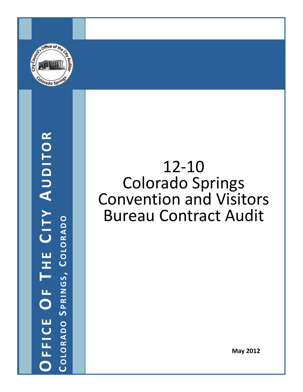

## **OFFICE O F T H E C ITY A UDITOR COLORADO COLORADO SPRINGS, COLORADO PRINGS , C OLORADO**

## 12‐10 Colorado Springs Convention and Visitors Bureau Contract Audit

**May 2012**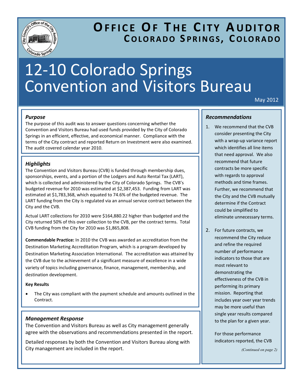

### **OFFICE OF T H E C ITY A UDITOR COLORADO S PRINGS , C OLORADO**

## 12‐10 Colorado Springs Convention and Visitors Bureau

May 2012

#### *Purpose*

The purpose of this audit was to answer questions concerning whether the Convention and Visitors Bureau had used funds provided by the City of Colorado Springs in an efficient, effective, and economical manner. Compliance with the terms of the City contract and reported Return on Investment were also examined. The audit covered calendar year 2010.

#### *Highlights*

The Convention and Visitors Bureau (CVB) is funded through membership dues, sponsorships, events, and a portion of the Lodgers and Auto Rental Tax (LART), which is collected and administered by the City of Colorado Springs. The CVB's budgeted revenue for 2010 was estimated at \$2,387,453. Funding from LART was estimated at \$1,783,368, which equated to 74.6% of the budgeted revenue. The LART funding from the City is regulated via an annual service contract between the City and the CVB.

Actual LART collections for 2010 were \$164,880.22 higher than budgeted and the City returned 50% of this over collection to the CVB, per the contract terms. Total CVB funding from the City for 2010 was \$1,865,808.

**Commendable Practice:** In 2010 the CVB was awarded an accreditation from the Destination Marketing Accreditation Program, which is a program developed by Destination Marketing Association International. The accreditation was attained by the CVB due to the achievement of a significant measure of excellence in a wide variety of topics including governance, finance, management, membership, and destination development.

#### **Key Results**

The City was compliant with the payment schedule and amounts outlined in the Contract.

#### *Management Response*

The Convention and Visitors Bureau as well as City management generally agree with the observations and recommendations presented in the report.

Detailed responses by both the Convention and Visitors Bureau along with City management are included in the report.

#### *Recommendations*

- 1. We recommend that the CVB consider presenting the City with a wrap‐up variance report which identifies all line items that need approval. We also recommend that future contracts be more specific with regards to approval methods and time frames. Further, we recommend that the City and the CVB mutually determine if the Contract could be simplified to eliminate unnecessary terms.
- 2. For future contracts, we recommend the City reduce and refine the required number of performance indicators to those that are most relevant to demonstrating the effectiveness of the CVB in performing its primary mission. Reporting that includes year over year trends may be more useful than single year results compared to the plan for a given year.

For those performance indicators reported, the CVB

*(Continued on page 2)*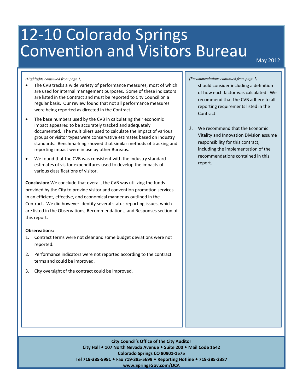# 12-10 Colorado Springs<br>Convention and Visitors Bureau Inleav 2012

#### *(Highlights continued from page 1)*

- The CVB tracks a wide variety of performance measures, most of which are used for internal management purposes. Some of these indicators are listed in the Contract and must be reported to City Council on a regular basis. Our review found that not all performance measures were being reported as directed in the Contract.
- The base numbers used by the CVB in calculating their economic impact appeared to be accurately tracked and adequately documented. The multipliers used to calculate the impact of various groups or visitor types were conservative estimates based on industry standards. Benchmarking showed that similar methods of tracking and reporting impact were in use by other Bureaus.
- We found that the CVB was consistent with the industry standard estimates of visitor expenditures used to develop the impacts of various classifications of visitor.

**Conclusion:** We conclude that overall, the CVB was utilizing the funds provided by the City to provide visitor and convention promotion services in an efficient, effective, and economical manner as outlined in the Contract. We did however identify several status reporting issues, which are listed in the Observations, Recommendations, and Responses section of this report.

#### **Observations:**

- 1. Contract terms were not clear and some budget deviations were not reported.
- 2. Performance indicators were not reported according to the contract terms and could be improved.
- 3. City oversight of the contract could be improved.

#### *(Recommendations continued from page 1)*

should consider including a definition of how each factor was calculated. We recommend that the CVB adhere to all reporting requirements listed in the Contract.

3. We recommend that the Economic Vitality and Innovation Division assume responsibility for this contract, including the implementation of the recommendations contained in this report.

**City Council's Office of the City Auditor City Hall 107 North Nevada Avenue Suite 200 Mail Code 1542 Colorado Springs CO 80901‐1575 Tel 719‐385‐5991 Fax 719‐385‐5699 Reporting Hotline 719‐385‐2387 www.SpringsGov.com/OCA**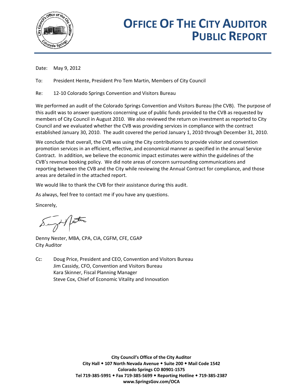

## **OFFICE OF THE CITY AUDITOR PUBLIC REPORT**

Date: May 9, 2012

To: President Hente, President Pro Tem Martin, Members of City Council

Re: 12-10 Colorado Springs Convention and Visitors Bureau

We performed an audit of the Colorado Springs Convention and Visitors Bureau (the CVB). The purpose of this audit was to answer questions concerning use of public funds provided to the CVB as requested by members of City Council in August 2010. We also reviewed the return on investment as reported to City Council and we evaluated whether the CVB was providing services in compliance with the contract established January 30, 2010. The audit covered the period January 1, 2010 through December 31, 2010.

We conclude that overall, the CVB was using the City contributions to provide visitor and convention promotion services in an efficient, effective, and economical manner as specified in the annual Service Contract. In addition, we believe the economic impact estimates were within the guidelines of the CVB's revenue booking policy. We did note areas of concern surrounding communications and reporting between the CVB and the City while reviewing the Annual Contract for compliance, and those areas are detailed in the attached report.

We would like to thank the CVB for their assistance during this audit.

As always, feel free to contact me if you have any questions.

Sincerely,

Sungt / factor

Denny Nester, MBA, CPA, CIA, CGFM, CFE, CGAP City Auditor

Cc: Doug Price, President and CEO, Convention and Visitors Bureau Jim Cassidy, CFO, Convention and Visitors Bureau Kara Skinner, Fiscal Planning Manager Steve Cox, Chief of Economic Vitality and Innovation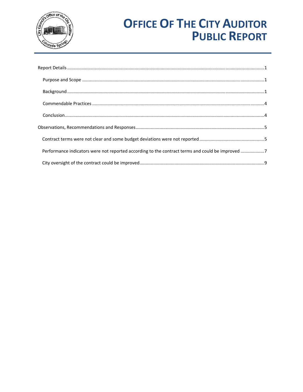

## **OFFICE OF THE CITY AUDITOR PUBLIC REPORT**

| Performance indicators were not reported according to the contract terms and could be improved 7 |  |
|--------------------------------------------------------------------------------------------------|--|
|                                                                                                  |  |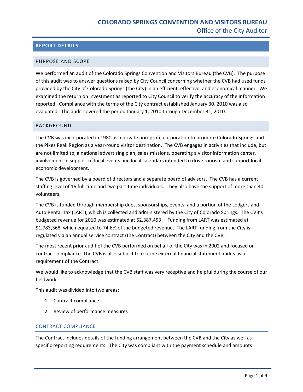#### <span id="page-5-0"></span>**REPORT DETAILS**

#### PURPOSE AND SCOPE

We performed an audit of the Colorado Springs Convention and Visitors Bureau (the CVB). The purpose of this audit was to answer questions raised by City Council concerning whether the CVB had used funds provided by the City of Colorado Springs (the City) in an efficient, effective, and economical manner. We examined the return on investment as reported to City Council to verify the accuracy of the information reported. Compliance with the terms of the City contract established January 30, 2010 was also evaluated. The audit covered the period January 1, 2010 through December 31, 2010.

#### BACKGROUND

The CVB was incorporated in 1980 as a private non-profit corporation to promote Colorado Springs and the Pikes Peak Region as a year‐round visitor destination. The CVB engages in activities that include, but are not limited to, a national advertising plan, sales missions, operating a visitor information center, involvement in support of local events and local calendars intended to drive tourism and support local economic development.

The CVB is governed by a board of directors and a separate board of advisors. The CVB has a current staffing level of 16 full‐time and two part‐time individuals. They also have the support of more than 40 volunteers.

The CVB is funded through membership dues, sponsorships, events, and a portion of the Lodgers and Auto Rental Tax (LART), which is collected and administered by the City of Colorado Springs. The CVB's budgeted revenue for 2010 was estimated at \$2,387,453. Funding from LART was estimated at \$1,783,368, which equated to 74.6% of the budgeted revenue. The LART funding from the City is regulated via an annual service contract (the Contract) between the City and the CVB.

The most recent prior audit of the CVB performed on behalf of the City was in 2002 and focused on contract compliance. The CVB is also subject to routine external financial statement audits as a requirement of the Contract.

We would like to acknowledge that the CVB staff was very receptive and helpful during the course of our fieldwork.

This audit was divided into two areas:

- 1. Contract compliance
- 2. Review of performance measures

#### CONTRACT COMPLIANCE

The Contract includes details of the funding arrangement between the CVB and the City as well as specific reporting requirements. The City was compliant with the payment schedule and amounts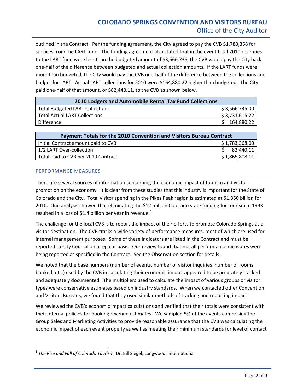outlined in the Contract. Per the funding agreement, the City agreed to pay the CVB \$1,783,368 for services from the LART fund. The funding agreement also stated that in the event total 2010 revenues to the LART fund were less than the budgeted amount of \$3,566,735, the CVB would pay the City back one‐half of the difference between budgeted and actual collection amounts. If the LART funds were more than budgeted, the City would pay the CVB one-half of the difference between the collections and budget for LART. Actual LART collections for 2010 were \$164,880.22 higher than budgeted. The City paid one-half of that amount, or \$82,440.11, to the CVB as shown below.

| 2010 Lodgers and Automobile Rental Tax Fund Collections |                |  |  |
|---------------------------------------------------------|----------------|--|--|
| <b>Total Budgeted LART Collections</b>                  | \$3,566,735.00 |  |  |
| <b>Total Actual LART Collections</b>                    | \$3,731,615.22 |  |  |
| Difference                                              | 164,880.22     |  |  |

| Payment Totals for the 2010 Convention and Visitors Bureau Contract |                |  |
|---------------------------------------------------------------------|----------------|--|
| Initial Contract amount paid to CVB                                 | \$1,783,368.00 |  |
| 1/2 LART Over-collection                                            | \$2,440.11     |  |
| Total Paid to CVB per 2010 Contract                                 | \$1,865,808.11 |  |
|                                                                     |                |  |

#### PERFORMANCE MEASURES

There are several sources of information concerning the economic impact of tourism and visitor promotion on the economy. It is clear from these studies that this industry is important for the State of Colorado and the City. Total visitor spending in the Pikes Peak region is estimated at \$1.350 billion for 2010. One analysis showed that eliminating the \$12 million Colorado state funding for tourism in 1993 resulted in a loss of \$[1](#page-6-0).4 billion per year in revenue.<sup>1</sup>

The challenge for the local CVB is to report the impact of their efforts to promote Colorado Springs as a visitor destination. The CVB tracks a wide variety of performance measures, most of which are used for internal management purposes. Some of these indicators are listed in the Contract and must be reported to City Council on a regular basis. Our review found that not all performance measures were being reported as specified in the Contract. See the Observation section for details.

We noted that the base numbers (number of events, number of visitor inquiries, number of rooms booked, etc.) used by the CVB in calculating their economic impact appeared to be accurately tracked and adequately documented. The multipliers used to calculate the impact of various groups or visitor types were conservative estimates based on industry standards. When we contacted other Convention and Visitors Bureaus, we found that they used similar methods of tracking and reporting impact.

We reviewed the CVB's economic impact calculations and verified that their totals were consistent with their internal policies for booking revenue estimates. We sampled 5% of the events comprising the Group Sales and Marketing Activities to provide reasonable assurance that the CVB was calculating the economic impact of each event properly as well as meeting their minimum standards for level of contact

<span id="page-6-0"></span><sup>1</sup> *The Rise and Fall of Colorado Tourism*, Dr. Bill Siegel, Longwoods International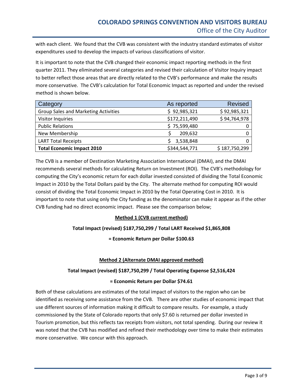with each client. We found that the CVB was consistent with the industry standard estimates of visitor expenditures used to develop the impacts of various classifications of visitor.

It is important to note that the CVB changed their economic impact reporting methods in the first quarter 2011. They eliminated several categories and revised their calculation of Visitor Inquiry impact to better reflect those areas that are directly related to the CVB's performance and make the results more conservative. The CVB's calculation for Total Economic Impact as reported and under the revised method is shown below.

| Category                                    | As reported   | <b>Revised</b> |
|---------------------------------------------|---------------|----------------|
| <b>Group Sales and Marketing Activities</b> | \$92,985,321  | \$92,985,321   |
| <b>Visitor Inquiries</b>                    | \$172,211,490 | \$94,764,978   |
| <b>Public Relations</b>                     | \$75,599,480  |                |
| New Membership                              | 209,632       |                |
| <b>LART Total Receipts</b>                  | 3,538,848     |                |
| <b>Total Economic Impact 2010</b>           | \$344,544,771 | \$187,750,299  |

The CVB is a member of Destination Marketing Association International (DMAI), and the DMAI recommends several methods for calculating Return on Investment (ROI). The CVB's methodology for computing the City's economic return for each dollar invested consisted of dividing the Total Economic Impact in 2010 by the Total Dollars paid by the City. The alternate method for computing ROI would consist of dividing the Total Economic Impact in 2010 by the Total Operating Cost in 2010. It is important to note that using only the City funding as the denominator can make it appear as if the other CVB funding had no direct economic impact. Please see the comparison below;

#### **Method 1 (CVB current method)**

#### **Total Impact (revised) \$187,750,299 / Total LART Received \$1,865,808**

**= Economic Return per Dollar \$100.63**

#### **Method 2 (Alternate DMAI approved method)**

#### **Total Impact (revised) \$187,750,299 / Total Operating Expense \$2,516,424**

#### **= Economic Return per Dollar \$74.61**

Both of these calculations are estimates of the total impact of visitors to the region who can be identified as receiving some assistance from the CVB. There are other studies of economic impact that use different sources of information making it difficult to compare results. For example, a study commissioned by the State of Colorado reports that only \$7.60 is returned per dollar invested in Tourism promotion, but this reflects tax receipts from visitors, not total spending. During our review it was noted that the CVB has modified and refined their methodology over time to make their estimates more conservative. We concur with this approach.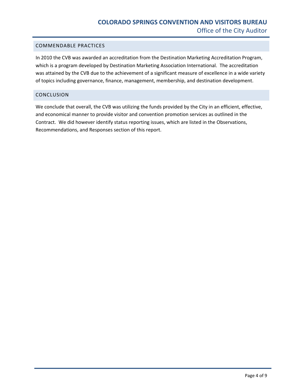#### <span id="page-8-0"></span>COMMENDABLE PRACTICES

In 2010 the CVB was awarded an accreditation from the Destination Marketing Accreditation Program, which is a program developed by Destination Marketing Association International. The accreditation was attained by the CVB due to the achievement of a significant measure of excellence in a wide variety of topics including governance, finance, management, membership, and destination development.

#### CONCLUSION

We conclude that overall, the CVB was utilizing the funds provided by the City in an efficient, effective, and economical manner to provide visitor and convention promotion services as outlined in the Contract. We did however identify status reporting issues, which are listed in the Observations, Recommendations, and Responses section of this report.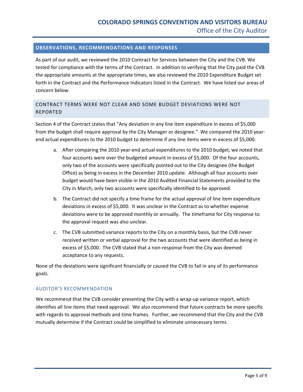#### <span id="page-9-0"></span>**OBSERVATIONS, RECOMMENDATIONS AND RESPONSES**

As part of our audit, we reviewed the 2010 Contract for Services between the City and the CVB. We tested for compliance with the terms of the Contract. In addition to verifying that the City paid the CVB the appropriate amounts at the appropriate times, we also reviewed the 2010 Expenditure Budget set forth in the Contract and the Performance Indicators listed in the Contract. We have listed our areas of concern below.

#### CONTRACT TERMS WERE NOT CLEAR AND SOME BUDGET DEVIATIONS WERE NOT REPORTED

Section 4 of the Contract states that "Any deviation in any line item expenditure in excess of \$5,000 from the budget shall require approval by the City Manager or designee." We compared the 2010 yearend actual expenditures to the 2010 budget to determine if any line items were in excess of \$5,000.

- a. After comparing the 2010 year-end actual expenditures to the 2010 budget, we noted that four accounts were over the budgeted amount in excess of \$5,000. Of the four accounts, only two of the accounts were specifically pointed out to the City designee (the Budget Office) as being in excess in the December 2010 update. Although all four accounts over budget would have been visible in the 2010 Audited Financial Statements provided to the City in March, only two accounts were specifically identified to be approved.
- b. The Contract did not specify a time frame for the actual approval of line item expenditure deviations in excess of \$5,000. It was unclear in the Contract as to whether expense deviations were to be approved monthly or annually. The timeframe for City response to the approval request was also unclear.
- c. The CVB submitted variance reports to the City on a monthly basis, but the CVB never received written or verbal approval for the two accounts that were identified as being in excess of \$5,000. The CVB stated that a non‐response from the City was deemed acceptance to any requests.

None of the deviations were significant financially or caused the CVB to fail in any of its performance goals.

#### AUDITOR'S RECOMMENDATION

We recommend that the CVB consider presenting the City with a wrap-up variance report, which identifies all line items that need approval. We also recommend that future contracts be more specific with regards to approval methods and time frames. Further, we recommend that the City and the CVB mutually determine if the Contract could be simplified to eliminate unnecessary terms.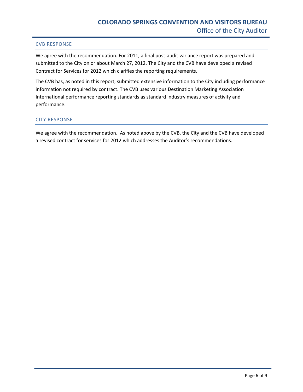#### CVB RESPONSE

We agree with the recommendation. For 2011, a final post-audit variance report was prepared and submitted to the City on or about March 27, 2012. The City and the CVB have developed a revised Contract for Services for 2012 which clarifies the reporting requirements.

The CVB has, as noted in this report, submitted extensive information to the City including performance information not required by contract. The CVB uses various Destination Marketing Association International performance reporting standards as standard industry measures of activity and performance.

#### CITY RESPONSE

We agree with the recommendation. As noted above by the CVB, the City and the CVB have developed a revised contract for services for 2012 which addresses the Auditor's recommendations.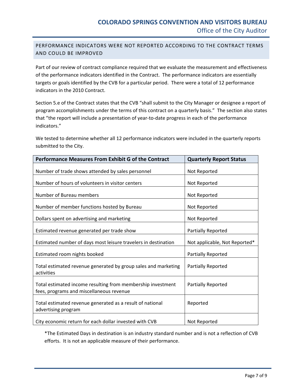#### <span id="page-11-0"></span>PERFORMANCE INDICATORS WERE NOT REPORTED ACCORDING TO THE CONTRACT TERMS AND COULD BE IMPROVED

Part of our review of contract compliance required that we evaluate the measurement and effectiveness of the performance indicators identified in the Contract. The performance indicators are essentially targets or goals identified by the CVB for a particular period. There were a total of 12 performance indicators in the 2010 Contract.

Section 5.e of the Contract states that the CVB "shall submit to the City Manager or designee a report of program accomplishments under the terms of this contract on a quarterly basis." The section also states that "the report will include a presentation of year‐to‐date progress in each of the performance indicators."

We tested to determine whether all 12 performance indicators were included in the quarterly reports submitted to the City.

| <b>Performance Measures From Exhibit G of the Contract</b>                                              | <b>Quarterly Report Status</b> |
|---------------------------------------------------------------------------------------------------------|--------------------------------|
| Number of trade shows attended by sales personnel                                                       | Not Reported                   |
| Number of hours of volunteers in visitor centers                                                        | Not Reported                   |
| Number of Bureau members                                                                                | Not Reported                   |
| Number of member functions hosted by Bureau                                                             | Not Reported                   |
| Dollars spent on advertising and marketing                                                              | Not Reported                   |
| Estimated revenue generated per trade show                                                              | Partially Reported             |
| Estimated number of days most leisure travelers in destination                                          | Not applicable, Not Reported*  |
| Estimated room nights booked                                                                            | Partially Reported             |
| Total estimated revenue generated by group sales and marketing<br>activities                            | <b>Partially Reported</b>      |
| Total estimated income resulting from membership investment<br>fees, programs and miscellaneous revenue | <b>Partially Reported</b>      |
| Total estimated revenue generated as a result of national<br>advertising program                        | Reported                       |
| City economic return for each dollar invested with CVB                                                  | Not Reported                   |

\*The Estimated Days in destination is an industry standard number and is not a reflection of CVB efforts. It is not an applicable measure of their performance.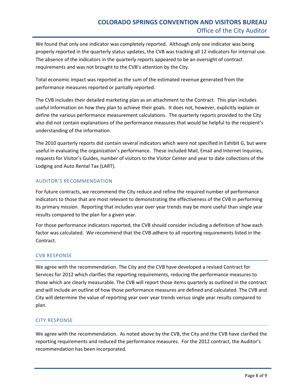We found that only one indicator was completely reported. Although only one indicator was being properly reported in the quarterly status updates, the CVB was tracking all 12 indicators for internal use. The absence of the indicators in the quarterly reports appeared to be an oversight of contract requirements and was not brought to the CVB's attention by the City.

Total economic impact was reported as the sum of the estimated revenue generated from the performance measures reported or partially reported.

The CVB includes their detailed marketing plan as an attachment to the Contract. This plan includes useful information on how they plan to achieve their goals. It does not, however, explicitly explain or define the various performance measurement calculations. The quarterly reports provided to the City also did not contain explanations of the performance measures that would be helpful to the recipient's understanding of the information.

The 2010 quarterly reports did contain several indicators which were not specified in Exhibit G, but were useful in evaluating the organization's performance. These included Mail, Email and Internet Inquiries, requests for Visitor's Guides, number of visitors to the Visitor Center and year to date collections of the Lodging and Auto Rental Tax (LART).

#### AUDITOR'S RECOMMENDATION

For future contracts, we recommend the City reduce and refine the required number of performance indicators to those that are most relevant to demonstrating the effectiveness of the CVB in performing its primary mission. Reporting that includes year over year trends may be more useful than single year results compared to the plan for a given year.

For those performance indicators reported, the CVB should consider including a definition of how each factor was calculated. We recommend that the CVB adhere to all reporting requirements listed in the Contract.

#### CVB RESPONSE

We agree with the recommendation. The City and the CVB have developed a revised Contract for Services for 2012 which clarifies the reporting requirements, reducing the performance measures to those which are clearly measurable. The CVB will report those items quarterly as outlined in the contract and will include an outline of how those performance measures are defined and calculated. The CVB and City will determine the value of reporting year over year trends versus single year results compared to plan.

#### CITY RESPONSE

We agree with the recommendation. As noted above by the CVB, the City and the CVB have clarified the reporting requirements and reduced the performance measures. For the 2012 contract, the Auditor's recommendation has been incorporated.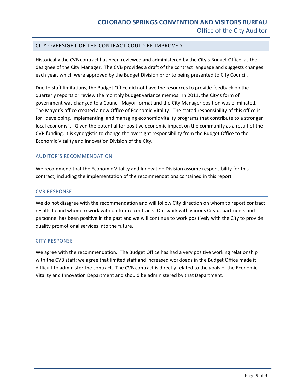#### <span id="page-13-0"></span>CITY OVERSIGHT OF THE CONTRACT COULD BE IMPROVED

Historically the CVB contract has been reviewed and administered by the City's Budget Office, as the designee of the City Manager. The CVB provides a draft of the contract language and suggests changes each year, which were approved by the Budget Division prior to being presented to City Council.

Due to staff limitations, the Budget Office did not have the resources to provide feedback on the quarterly reports or review the monthly budget variance memos. In 2011, the City's form of government was changed to a Council‐Mayor format and the City Manager position was eliminated. The Mayor's office created a new Office of Economic Vitality. The stated responsibility of this office is for "developing, implementing, and managing economic vitality programs that contribute to a stronger local economy". Given the potential for positive economic impact on the community as a result of the CVB funding, it is synergistic to change the oversight responsibility from the Budget Office to the Economic Vitality and Innovation Division of the City.

#### AUDITOR'S RECOMMENDATION

We recommend that the Economic Vitality and Innovation Division assume responsibility for this contract, including the implementation of the recommendations contained in this report.

#### CVB RESPONSE

We do not disagree with the recommendation and will follow City direction on whom to report contract results to and whom to work with on future contracts. Our work with various City departments and personnel has been positive in the past and we will continue to work positively with the City to provide quality promotional services into the future.

#### CITY RESPONSE

We agree with the recommendation. The Budget Office has had a very positive working relationship with the CVB staff; we agree that limited staff and increased workloads in the Budget Office made it difficult to administer the contract. The CVB contract is directly related to the goals of the Economic Vitality and Innovation Department and should be administered by that Department.